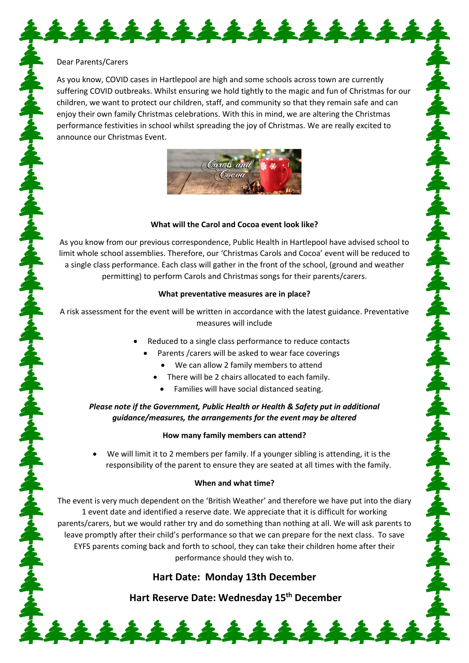### Dear Parents/Carers

As you know, COVID cases in Hartlepool are high and some schools across town are currently suffering COVID outbreaks. Whilst ensuring we hold tightly to the magic and fun of Christmas for our children, we want to protect our children, staff, and community so that they remain safe and can enjoy their own family Christmas celebrations. With this in mind, we are altering the Christmas performance festivities in school whilst spreading the joy of Christmas. We are really excited to announce our Christmas Event.

\*\*\*\*\*\*\*\*\*\*\*\*\*



### **What will the Carol and Cocoa event look like?**

As you know from our previous correspondence, Public Health in Hartlepool have advised school to limit whole school assemblies. Therefore, our 'Christmas Carols and Cocoa' event will be reduced to a single class performance. Each class will gather in the front of the school, (ground and weather permitting) to perform Carols and Christmas songs for their parents/carers.

### **What preventative measures are in place?**

A risk assessment for the event will be written in accordance with the latest guidance. Preventative measures will include

- Reduced to a single class performance to reduce contacts
	- Parents /carers will be asked to wear face coverings
		- We can allow 2 family members to attend
		- There will be 2 chairs allocated to each family.
			- Families will have social distanced seating.

# *Please note if the Government, Public Health or Health & Safety put in additional guidance/measures, the arrangements for the event may be altered*

## **How many family members can attend?**

• We will limit it to 2 members per family. If a younger sibling is attending, it is the responsibility of the parent to ensure they are seated at all times with the family.

## **When and what time?**

The event is very much dependent on the 'British Weather' and therefore we have put into the diary 1 event date and identified a reserve date. We appreciate that it is difficult for working parents/carers, but we would rather try and do something than nothing at all. We will ask parents to leave promptly after their child's performance so that we can prepare for the next class. To save EYFS parents coming back and forth to school, they can take their children home after their performance should they wish to.

# **Hart Date: Monday 13th December**

**Hart Reserve Date: Wednesday 15th December** 

\*\*\*\*\*\*\*\*\*\*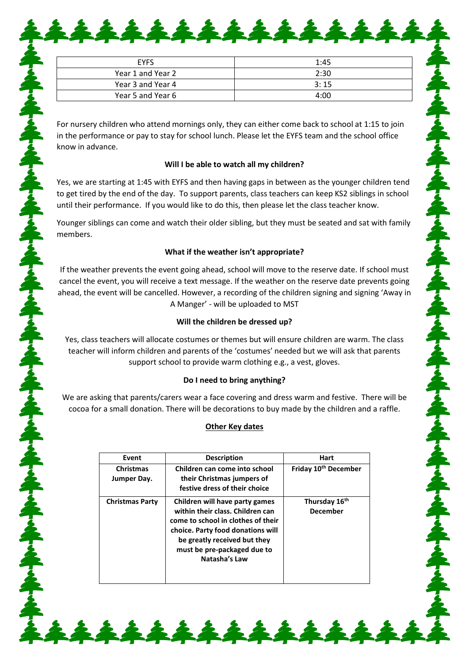| <b>EYFS</b>       | 1:45 |
|-------------------|------|
| Year 1 and Year 2 | 2:30 |
| Year 3 and Year 4 | 3:15 |
| Year 5 and Year 6 | 4:00 |

\*\*\*\*\*\*\*\*\*\*\*\*

For nursery children who attend mornings only, they can either come back to school at 1:15 to join in the performance or pay to stay for school lunch. Please let the EYFS team and the school office know in advance.

## **Will I be able to watch all my children?**

Yes, we are starting at 1:45 with EYFS and then having gaps in between as the younger children tend to get tired by the end of the day. To support parents, class teachers can keep KS2 siblings in school until their performance. If you would like to do this, then please let the class teacher know.

Younger siblings can come and watch their older sibling, but they must be seated and sat with family members.

## **What if the weather isn't appropriate?**

らんやりくやりくやりくやりくやりくやりくやりくやりくやりく

If the weather prevents the event going ahead, school will move to the reserve date. If school must cancel the event, you will receive a text message. If the weather on the reserve date prevents going ahead, the event will be cancelled. However, a recording of the children signing and signing 'Away in A Manger' - will be uploaded to MST

## **Will the children be dressed up?**

Yes, class teachers will allocate costumes or themes but will ensure children are warm. The class teacher will inform children and parents of the 'costumes' needed but we will ask that parents support school to provide warm clothing e.g., a vest, gloves.

# **Do I need to bring anything?**

We are asking that parents/carers wear a face covering and dress warm and festive. There will be cocoa for a small donation. There will be decorations to buy made by the children and a raffle.

# **Other Key dates**

| Event                           | <b>Description</b>                                                                                                                                                                                                            | Hart                                         |
|---------------------------------|-------------------------------------------------------------------------------------------------------------------------------------------------------------------------------------------------------------------------------|----------------------------------------------|
| <b>Christmas</b><br>Jumper Day. | Children can come into school<br>their Christmas jumpers of<br>festive dress of their choice                                                                                                                                  | Friday 10 <sup>th</sup> December             |
| <b>Christmas Party</b>          | Children will have party games<br>within their class. Children can<br>come to school in clothes of their<br>choice. Party food donations will<br>be greatly received but they<br>must be pre-packaged due to<br>Natasha's Law | Thursday 16 <sup>th</sup><br><b>December</b> |

\*\*\*\*\*\*\*\*\*\*